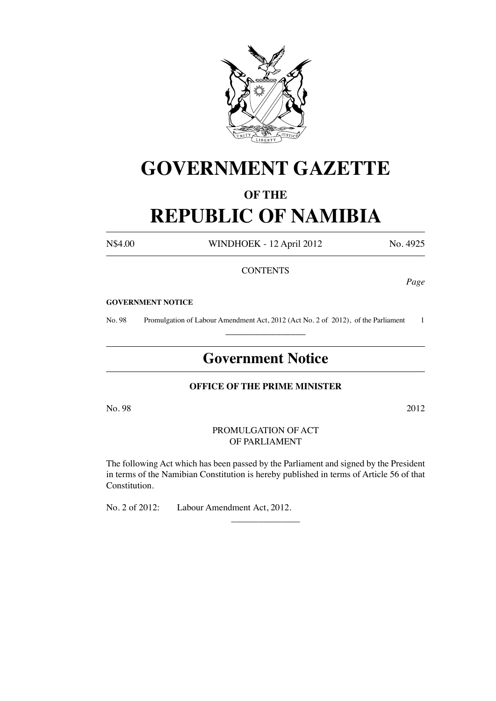

# **GOVERNMENT GAZETTE**

# **OF THE**

# **REPUBLIC OF NAMIBIA**

N\$4.00 WINDHOEK - 12 April 2012 No. 4925

# **CONTENTS**

*Page*

#### **GOVERNMENT NOTICE**

No. 98 Promulgation of Labour Amendment Act, 2012 (Act No. 2 of 2012), of the Parliament 1 \_\_\_\_\_\_\_\_\_\_\_\_\_\_\_\_

# **Government Notice**

# **OFFICE OF THE PRIME MINISTER**

 $\rm No. 98$   $2012$ 

#### PROMULGATION OF ACT OF PARLIAMENT

The following Act which has been passed by the Parliament and signed by the President in terms of the Namibian Constitution is hereby published in terms of Article 56 of that Constitution.

 $\overline{\phantom{a}}$  , where  $\overline{\phantom{a}}$ 

No. 2 of 2012: Labour Amendment Act, 2012.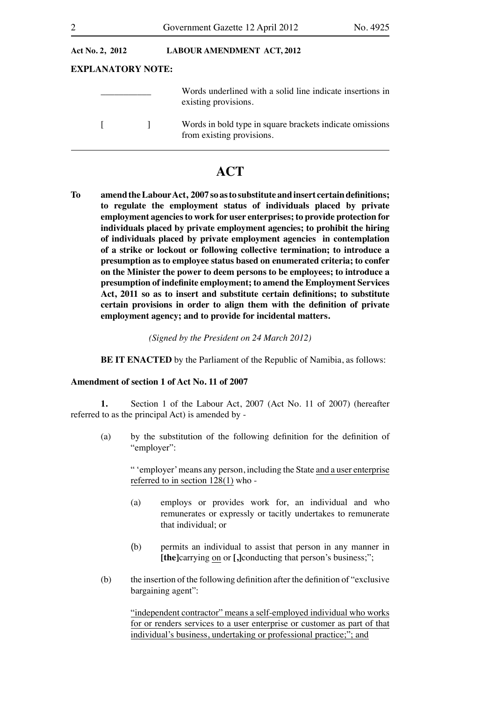| Act No. 2, 2012          |  | <b>LABOUR AMENDMENT ACT, 2012</b>                                                     |
|--------------------------|--|---------------------------------------------------------------------------------------|
| <b>EXPLANATORY NOTE:</b> |  |                                                                                       |
|                          |  | Words underlined with a solid line indicate insertions in<br>existing provisions.     |
|                          |  | Words in bold type in square brackets indicate omissions<br>from existing provisions. |

# **ACT**

**To amend the Labour Act, 2007 so as to substitute and insert certain definitions; to regulate the employment status of individuals placed by private employment agencies to work for user enterprises; to provide protection for individuals placed by private employment agencies; to prohibit the hiring of individuals placed by private employment agencies in contemplation of a strike or lockout or following collective termination; to introduce a presumption as to employee status based on enumerated criteria; to confer on the Minister the power to deem persons to be employees; to introduce a presumption of indefinite employment; to amend the Employment Services Act, 2011 so as to insert and substitute certain definitions; to substitute certain provisions in order to align them with the definition of private employment agency; and to provide for incidental matters.**

*(Signed by the President on 24 March 2012)*

**BE IT ENACTED** by the Parliament of the Republic of Namibia, as follows:

# **Amendment of section 1 of Act No. 11 of 2007**

**1.** Section 1 of the Labour Act, 2007 (Act No. 11 of 2007) (hereafter referred to as the principal Act) is amended by -

 (a) by the substitution of the following definition for the definition of "employer":

> " 'employer'means any person, including the State and a user enterprise referred to in section 128(1) who -

- (a) employs or provides work for, an individual and who remunerates or expressly or tacitly undertakes to remunerate that individual; or
- (b) permits an individual to assist that person in any manner in **[the]**carrying on or **[,]**conducting that person's business;";
- (b) the insertion of the following definition after the definition of "exclusive bargaining agent":

 "independent contractor" means a self-employed individual who works for or renders services to a user enterprise or customer as part of that individual's business, undertaking or professional practice;"; and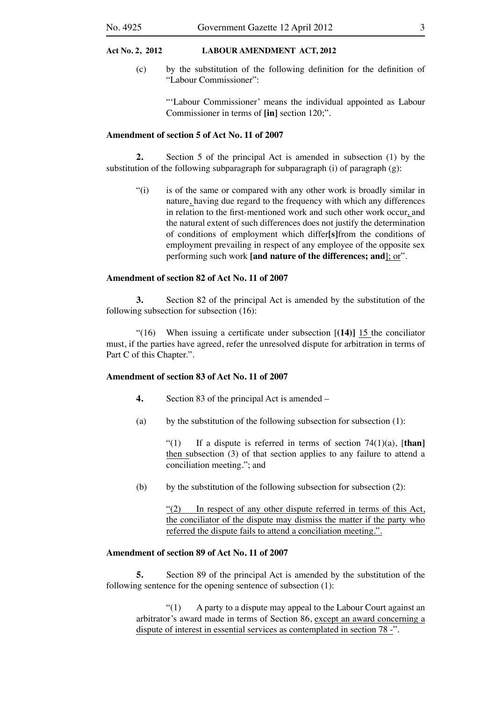(c) by the substitution of the following definition for the definition of "Labour Commissioner":

> "'Labour Commissioner' means the individual appointed as Labour Commissioner in terms of **[in]** section 120;".

## **Amendment of section 5 of Act No. 11 of 2007**

**2.** Section 5 of the principal Act is amended in subsection (1) by the substitution of the following subparagraph for subparagraph  $(i)$  of paragraph  $(g)$ :

 "(i) is of the same or compared with any other work is broadly similar in nature, having due regard to the frequency with which any differences in relation to the first-mentioned work and such other work occur, and the natural extent of such differences does not justify the determination of conditions of employment which differ**[s]**from the conditions of employment prevailing in respect of any employee of the opposite sex performing such work **[and nature of the differences; and**]; or".

# **Amendment of section 82 of Act No. 11 of 2007**

**3.** Section 82 of the principal Act is amended by the substitution of the following subsection for subsection (16):

 "(16) When issuing a certificate under subsection [**(14)]** 15 the conciliator must, if the parties have agreed, refer the unresolved dispute for arbitration in terms of Part C of this Chapter.".

# **Amendment of section 83 of Act No. 11 of 2007**

- **4.** Section 83 of the principal Act is amended –
- (a) by the substitution of the following subsection for subsection  $(1)$ :

 "(1) If a dispute is referred in terms of section 74(1)(a), [**than]**  then subsection (3) of that section applies to any failure to attend a conciliation meeting."; and

(b) by the substitution of the following subsection for subsection  $(2)$ :

"(2) In respect of any other dispute referred in terms of this Act, the conciliator of the dispute may dismiss the matter if the party who referred the dispute fails to attend a conciliation meeting.".

# **Amendment of section 89 of Act No. 11 of 2007**

**5.** Section 89 of the principal Act is amended by the substitution of the following sentence for the opening sentence of subsection (1):

 $\degree$ (1) A party to a dispute may appeal to the Labour Court against an arbitrator's award made in terms of Section 86, except an award concerning a dispute of interest in essential services as contemplated in section 78 -".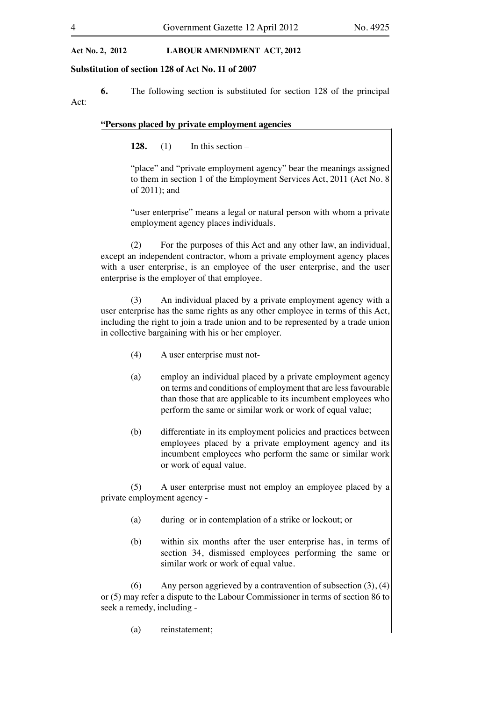#### **Substitution of section 128 of Act No. 11 of 2007**

**6.** The following section is substituted for section 128 of the principal Act:

# **"Persons placed by private employment agencies**

**128.** (1) In this section –

"place" and "private employment agency" bear the meanings assigned to them in section 1 of the Employment Services Act, 2011 (Act No. 8 of 2011); and

"user enterprise" means a legal or natural person with whom a private employment agency places individuals.

(2) For the purposes of this Act and any other law, an individual, except an independent contractor, whom a private employment agency places with a user enterprise, is an employee of the user enterprise, and the user enterprise is the employer of that employee.

(3) An individual placed by a private employment agency with a user enterprise has the same rights as any other employee in terms of this Act, including the right to join a trade union and to be represented by a trade union in collective bargaining with his or her employer.

- (4) A user enterprise must not-
- (a) employ an individual placed by a private employment agency on terms and conditions of employment that are less favourable than those that are applicable to its incumbent employees who perform the same or similar work or work of equal value;
- (b) differentiate in its employment policies and practices between employees placed by a private employment agency and its incumbent employees who perform the same or similar work or work of equal value.

 (5) A user enterprise must not employ an employee placed by a private employment agency -

- (a) during or in contemplation of a strike or lockout; or
- (b) within six months after the user enterprise has, in terms of section 34, dismissed employees performing the same or similar work or work of equal value.

(6) Any person aggrieved by a contravention of subsection  $(3)$ ,  $(4)$ or (5) may refer a dispute to the Labour Commissioner in terms of section 86 to seek a remedy, including -

 (a) reinstatement;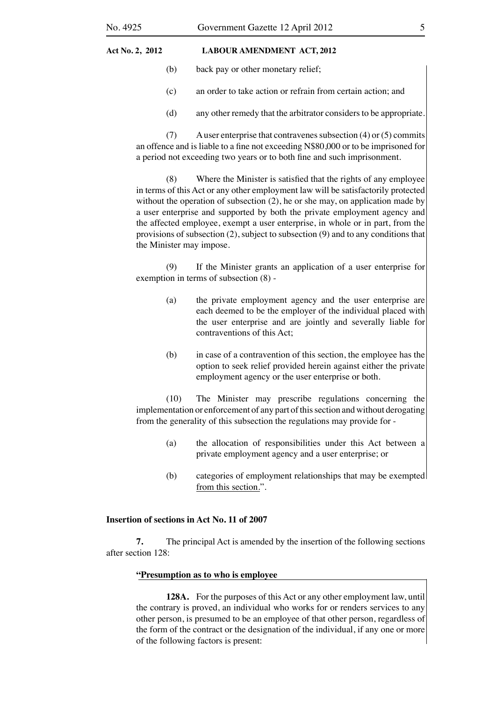- (b) back pay or other monetary relief;
- (c) an order to take action or refrain from certain action; and
- (d) any other remedy that the arbitrator considers to be appropriate.

(7) A user enterprise that contravenes subsection (4) or (5) commits an offence and is liable to a fine not exceeding N\$80,000 or to be imprisoned for a period not exceeding two years or to both fine and such imprisonment.

 (8) Where the Minister is satisfied that the rights of any employee in terms of this Act or any other employment law will be satisfactorily protected without the operation of subsection (2), he or she may, on application made by a user enterprise and supported by both the private employment agency and the affected employee, exempt a user enterprise, in whole or in part, from the provisions of subsection (2), subject to subsection (9) and to any conditions that the Minister may impose.

 (9) If the Minister grants an application of a user enterprise for exemption in terms of subsection (8) -

- (a) the private employment agency and the user enterprise are each deemed to be the employer of the individual placed with the user enterprise and are jointly and severally liable for contraventions of this Act;
- (b) in case of a contravention of this section, the employee has the option to seek relief provided herein against either the private employment agency or the user enterprise or both.

 (10) The Minister may prescribe regulations concerning the implementation or enforcement of any part of this section and without derogating from the generality of this subsection the regulations may provide for -

- (a) the allocation of responsibilities under this Act between a private employment agency and a user enterprise; or
- (b) categories of employment relationships that may be exempted from this section.".

# **Insertion of sections in Act No. 11 of 2007**

**7.** The principal Act is amended by the insertion of the following sections after section 128:

#### **"Presumption as to who is employee**

**128A.** For the purposes of this Act or any other employment law, until the contrary is proved, an individual who works for or renders services to any other person, is presumed to be an employee of that other person, regardless of the form of the contract or the designation of the individual, if any one or more of the following factors is present: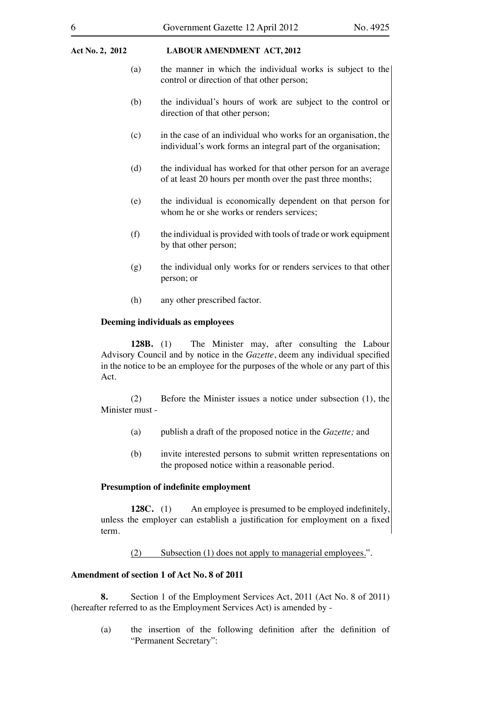- (a) the manner in which the individual works is subject to the control or direction of that other person;
- (b) the individual's hours of work are subject to the control or direction of that other person;
- (c) in the case of an individual who works for an organisation, the individual's work forms an integral part of the organisation;
- (d) the individual has worked for that other person for an average of at least 20 hours per month over the past three months;
- (e) the individual is economically dependent on that person for whom he or she works or renders services;
- $(f)$  the individual is provided with tools of trade or work equipment by that other person;
- (g) the individual only works for or renders services to that other person; or
- (h) any other prescribed factor.

#### **Deeming individuals as employees**

**128B.** (1) The Minister may, after consulting the Labour Advisory Council and by notice in the *Gazette*, deem any individual specified in the notice to be an employee for the purposes of the whole or any part of this Act.

 (2) Before the Minister issues a notice under subsection (1), the Minister must -

- (a) publish a draft of the proposed notice in the *Gazette;* and
- (b) invite interested persons to submit written representations on the proposed notice within a reasonable period.

## **Presumption of indefinite employment**

**128C.** (1) An employee is presumed to be employed indefinitely, unless the employer can establish a justification for employment on a fixed term.

(2) Subsection (1) does not apply to managerial employees.".

#### **Amendment of section 1 of Act No. 8 of 2011**

**8.** Section 1 of the Employment Services Act, 2011 (Act No. 8 of 2011) (hereafter referred to as the Employment Services Act) is amended by -

 (a) the insertion of the following definition after the definition of "Permanent Secretary":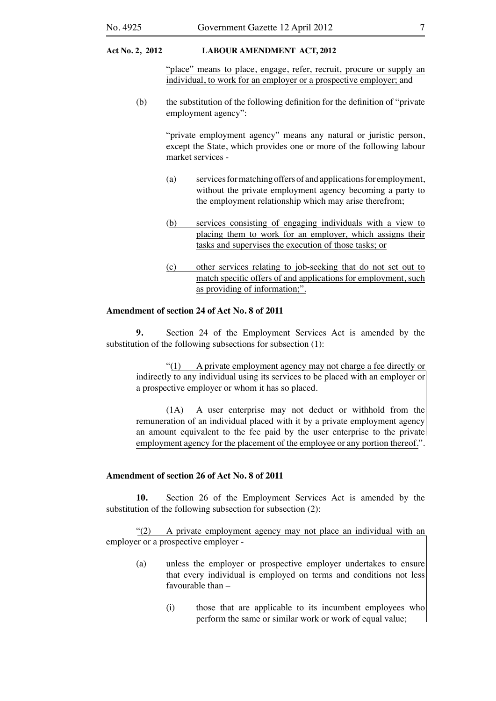"place" means to place, engage, refer, recruit, procure or supply an individual, to work for an employer or a prospective employer; and

 (b) the substitution of the following definition for the definition of "private employment agency":

> "private employment agency" means any natural or juristic person, except the State, which provides one or more of the following labour market services -

- (a) servicesformatching offers of and applicationsfor employment, without the private employment agency becoming a party to the employment relationship which may arise therefrom;
- (b) services consisting of engaging individuals with a view to placing them to work for an employer, which assigns their tasks and supervises the execution of those tasks; or
- (c) other services relating to job-seeking that do not set out to match specific offers of and applications for employment, such as providing of information;".

#### **Amendment of section 24 of Act No. 8 of 2011**

**9.** Section 24 of the Employment Services Act is amended by the substitution of the following subsections for subsection  $(1)$ :

 "(1) A private employment agency may not charge a fee directly or indirectly to any individual using its services to be placed with an employer or a prospective employer or whom it has so placed.

 (1A) A user enterprise may not deduct or withhold from the remuneration of an individual placed with it by a private employment agency an amount equivalent to the fee paid by the user enterprise to the private employment agency for the placement of the employee or any portion thereof.".

#### **Amendment of section 26 of Act No. 8 of 2011**

**10.** Section 26 of the Employment Services Act is amended by the substitution of the following subsection for subsection (2):

 "(2) A private employment agency may not place an individual with an employer or a prospective employer -

- (a) unless the employer or prospective employer undertakes to ensure that every individual is employed on terms and conditions not less favourable than –
	- $(i)$  those that are applicable to its incumbent employees who perform the same or similar work or work of equal value;